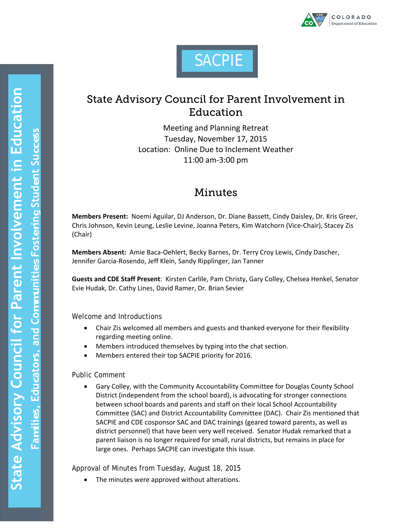



## State Advisory Council for Parent Involvement in Education

Meeting and Planning Retreat Tuesday, November 17, 2015 Location: Online Due to Inclement Weather 11:00 am‐3:00 pm

## Minutes

**Members Present:** Noemi Aguilar, DJ Anderson, Dr. Diane Bassett, Cindy Daisley, Dr. Kris Greer, Chris Johnson, Kevin Leung, Leslie Levine, Joanna Peters, Kim Watchorn (Vice‐Chair), Stacey Zis (Chair)

**Members Absent:** Amie Baca‐Oehlert, Becky Barnes, Dr. Terry Croy Lewis, Cindy Dascher, Jennifer Garcia‐Rosendo, Jeff Klein, Sandy Ripplinger, Jan Tanner

**Guests and CDE Staff Present**: Kirsten Carlile, Pam Christy, Gary Colley, Chelsea Henkel, Senator Evie Hudak, Dr. Cathy Lines, David Ramer, Dr. Brian Sevier

Welcome and Introductions

- Chair Zis welcomed all members and guests and thanked everyone for their flexibility regarding meeting online.
- Members introduced themselves by typing into the chat section.
- Members entered their top SACPIE priority for 2016.

Public Comment

 Gary Colley, with the Community Accountability Committee for Douglas County School District (independent from the school board), is advocating for stronger connections between school boards and parents and staff on their local School Accountability Committee (SAC) and District Accountability Committee (DAC). Chair Zis mentioned that SACPIE and CDE cosponsor SAC and DAC trainings (geared toward parents, as well as district personnel) that have been very well received. Senator Hudak remarked that a parent liaison is no longer required for small, rural districts, but remains in place for large ones. Perhaps SACPIE can investigate this issue.

Approval of Minutes from Tuesday, August 18, 2015

The minutes were approved without alterations.